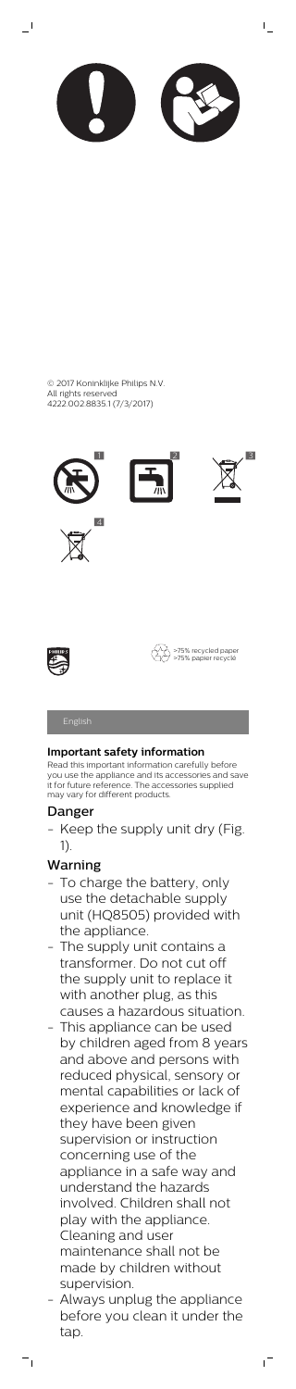

 $\overline{\phantom{0}}$ 





 $\bar{\Gamma}$ 







>75% recycled paper >75% papier recyclé

## **Important safety information**

Keep the supply unit dry (Fig. 1).

Read this important information carefully before you use the appliance and its accessories and save it for future reference. The accessories supplied may vary for different products.

- To charge the battery, only use the detachable supply unit (HQ8505) provided with the appliance.
- The supply unit contains a transformer. Do not cut off the supply unit to replace it with another plug, as this

## Danger

# Warning

- This appliance can be used by children aged from 8 years and above and persons with reduced physical, sensory or mental capabilities or lack of experience and knowledge if they have been given supervision or instruction concerning use of the appliance in a safe way and understand the hazards involved. Children shall not play with the appliance. Cleaning and user maintenance shall not be made by children without supervision.
- Always unplug the appliance before you clean it under the tap.

 $^{-}$ 

 $\overline{\phantom{a}}_1$ 

causes a hazardous situation.

© 2017 Koninklijke Philips N.V. All rights reserved 4222.002.8835.1 (7/3/2017)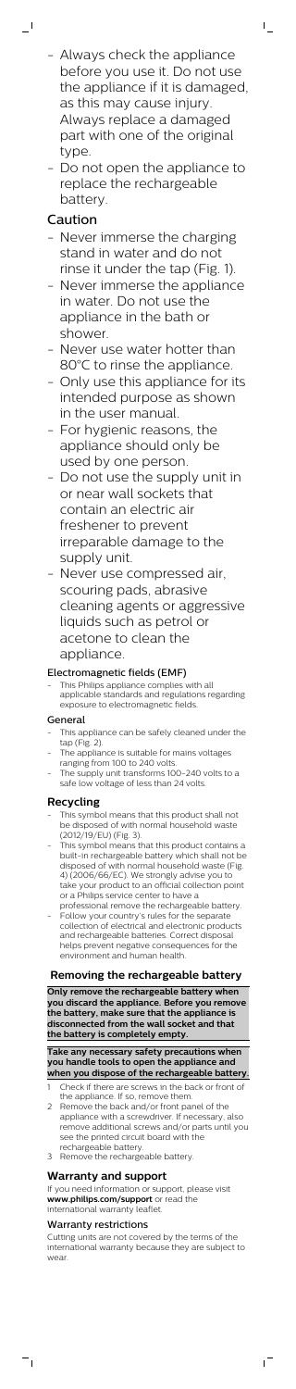- Always check the appliance before you use it. Do not use the appliance if it is damaged, as this may cause injury. Always replace a damaged part with one of the original type.

 $\mathsf{L}$ 

- Do not open the appliance to replace the rechargeable battery.

# Caution

 $\overline{\phantom{0}}$ 

This Philips appliance complies with all applicable standards and regulations regarding exposure to electromagnetic fields.

- Never immerse the charging stand in water and do not rinse it under the tap (Fig. 1).
- Never immerse the appliance in water. Do not use the appliance in the bath or shower.
- Never use water hotter than 80°C to rinse the appliance.
- Only use this appliance for its intended purpose as shown in the user manual.
- For hygienic reasons, the appliance should only be used by one person.
- Do not use the supply unit in or near wall sockets that contain an electric air freshener to prevent irreparable damage to the supply unit.
- Never use compressed air, scouring pads, abrasive cleaning agents or aggressive liquids such as petrol or acetone to clean the appliance.

- This appliance can be safely cleaned under the tap (Fig. 2).
- The appliance is suitable for mains voltages ranging from 100 to 240 volts.
- The supply unit transforms 100-240 volts to a safe low voltage of less than 24 volts.

## Electromagnetic fields (EMF)

- This symbol means that this product shall not be disposed of with normal household waste (2012/19/EU) (Fig. 3).
- This symbol means that this product contains a built-in rechargeable battery which shall not be disposed of with normal household waste (Fig. 4) (2006/66/EC). We strongly advise you to take your product to an official collection point or a Philips service center to have a
- professional remove the rechargeable battery. - Follow your country's rules for the separate collection of electrical and electronic products and rechargeable batteries. Correct disposal helps prevent negative consequences for the environment and human health.

## General

## **Recycling**

## **Removing the rechargeable battery**

**Only remove the rechargeable battery when**

**you discard the appliance. Before you remove the battery, make sure that the appliance is disconnected from the wall socket and that the battery is completely empty.**

#### **Take any necessary safety precautions when you handle tools to open the appliance and when you dispose of the rechargeable battery.**

- 1 Check if there are screws in the back or front of the appliance. If so, remove them.
- 2 Remove the back and/or front panel of the appliance with a screwdriver. If necessary, also remove additional screws and/or parts until you see the printed circuit board with the rechargeable battery.
- 3 Remove the rechargeable battery.

## **Warranty and support**

If you need information or support, please visit **www.philips.com/support** or read the international warranty leaflet.

#### Warranty restrictions

 $\overline{\phantom{a}}$ 

Cutting units are not covered by the terms of the international warranty because they are subject to wear.

 $\sqrt{2}$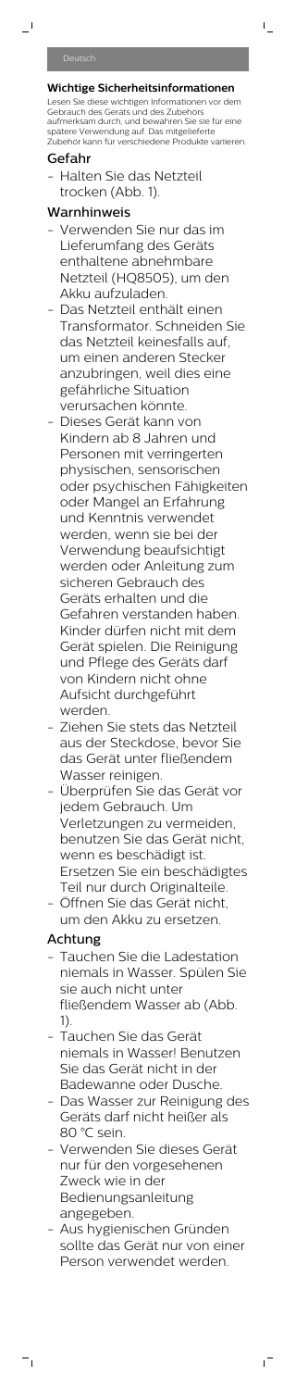$\overline{a}$ 

## **Wichtige Sicherheitsinformationen**

 $\mathbf{L}$ 

Lesen Sie diese wichtigen Informationen vor dem Gebrauch des Geräts und des Zubehörs aufmerksam durch, und bewahren Sie sie für eine spätere Verwendung auf. Das mitgelieferte Zubehör kann für verschiedene Produkte variieren.

Halten Sie das Netzteil trocken (Abb. 1).

## Gefahr

# Warnhinweis

- Verwenden Sie nur das im Lieferumfang des Geräts enthaltene abnehmbare Netzteil (HQ8505), um den Akku aufzuladen.
- Das Netzteil enthält einen Transformator. Schneiden Sie das Netzteil keinesfalls auf, um einen anderen Stecker anzubringen, weil dies eine gefährliche Situation verursachen könnte.
- Dieses Gerät kann von Kindern ab 8 Jahren und Personen mit verringerten physischen, sensorischen oder psychischen Fähigkeiten oder Mangel an Erfahrung und Kenntnis verwendet werden, wenn sie bei der Verwendung beaufsichtigt werden oder Anleitung zum sicheren Gebrauch des Geräts erhalten und die Gefahren verstanden haben. Kinder dürfen nicht mit dem Gerät spielen. Die Reinigung und Pflege des Geräts darf von Kindern nicht ohne Aufsicht durchgeführt werden.
- Ziehen Sie stets das Netzteil aus der Steckdose, bevor Sie das Gerät unter fließendem Wasser reinigen.
- Überprüfen Sie das Gerät vor jedem Gebrauch. Um Verletzungen zu vermeiden, benutzen Sie das Gerät nicht, wenn es beschädigt ist. Ersetzen Sie ein beschädigtes Teil nur durch Originalteile.
- Öffnen Sie das Gerät nicht, um den Akku zu ersetzen.

Tauchen Sie die Ladestation niemals in Wasser. Spülen Sie sie auch nicht unter fließendem Wasser ab (Abb. 1). - Tauchen Sie das Gerät niemals in Wasser! Benutzen Sie das Gerät nicht in der Badewanne oder Dusche. - Das Wasser zur Reinigung des Geräts darf nicht heißer als 80 °C sein. - Verwenden Sie dieses Gerät nur für den vorgesehenen Zweck wie in der Bedienungsanleitung angegeben. - Aus hygienischen Gründen sollte das Gerät nur von einer Person verwendet werden.

 $^{-}$ 

# Achtung

 $=$ <sub>1</sub>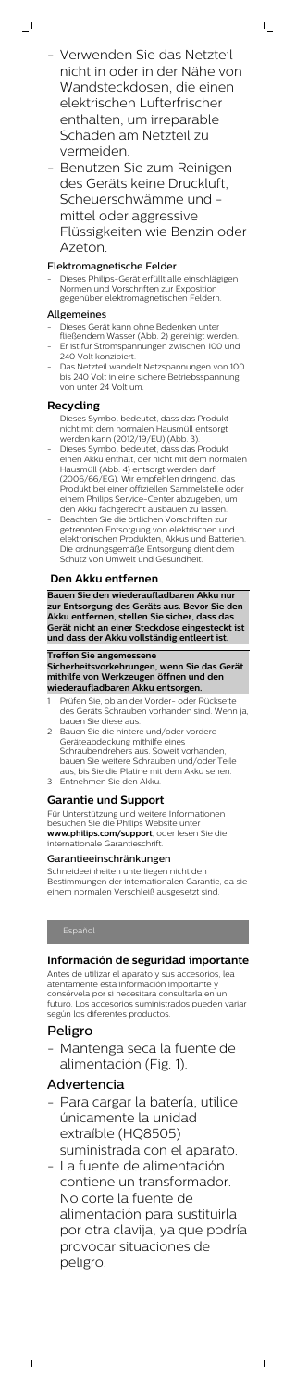- Verwenden Sie das Netzteil nicht in oder in der Nähe von Wandsteckdosen, die einen elektrischen Lufterfrischer enthalten, um irreparable Schäden am Netzteil zu vermeiden.

 $\mathsf{I}$ 

- Benutzen Sie zum Reinigen des Geräts keine Druckluft, Scheuerschwämme und mittel oder aggressive Flüssigkeiten wie Benzin oder Azeton.

#### Elektromagnetische Felder

- Dieses Gerät kann ohne Bedenken unter
- fließendem Wasser (Abb. 2) gereinigt werden. Er ist für Stromspannungen zwischen 100 und 240 Volt konzipiert.
- Das Netzteil wandelt Netzspannungen von 100 bis 240 Volt in eine sichere Betriebsspannung von unter 24 Volt um.

- Dieses Philips-Gerät erfüllt alle einschlägigen Normen und Vorschriften zur Exposition gegenüber elektromagnetischen Feldern.

#### Allgemeines

 $\overline{\phantom{0}}$  (

#### **Recycling**

- Prüfen Sie, ob an der Vorder- oder Rückseite des Geräts Schrauben vorhanden sind. Wenn ja, bauen Sie diese aus.
- 2 Bauen Sie die hintere und/oder vordere Geräteabdeckung mithilfe eines Schraubendrehers aus. Soweit vorhanden, bauen Sie weitere Schrauben und/oder Teile aus, bis Sie die Platine mit dem Akku sehen.
- 3 Entnehmen Sie den Akku.
- Dieses Symbol bedeutet, dass das Produkt nicht mit dem normalen Hausmüll entsorgt werden kann (2012/19/EU) (Abb. 3).
- Dieses Symbol bedeutet, dass das Produkt einen Akku enthält, der nicht mit dem normalen Hausmüll (Abb. 4) entsorgt werden darf (2006/66/EG). Wir empfehlen dringend, das Produkt bei einer offiziellen Sammelstelle oder einem Philips Service-Center abzugeben, um den Akku fachgerecht ausbauen zu lassen.
- Beachten Sie die örtlichen Vorschriften zur getrennten Entsorgung von elektrischen und elektronischen Produkten, Akkus und Batterien. Die ordnungsgemäße Entsorgung dient dem Schutz von Umwelt und Gesundheit.

Mantenga seca la fuente de alimentación (Fig. 1).

#### **Den Akku entfernen**

**Bauen Sie den wiederaufladbaren Akku nur zur Entsorgung des Geräts aus. Bevor Sie den Akku entfernen, stellen Sie sicher, dass das Gerät nicht an einer Steckdose eingesteckt ist und dass der Akku vollständig entleert ist.**

**Treffen Sie angemessene Sicherheitsvorkehrungen, wenn Sie das Gerät mithilfe von Werkzeugen öffnen und den wiederaufladbaren Akku entsorgen.**

#### **Garantie und Support**

Für Unterstützung und weitere Informationen besuchen Sie die Philips Website unter **www.philips.com/support**, oder lesen Sie die internationale Garantieschrift.

#### Garantieeinschränkungen

Schneideeinheiten unterliegen nicht den Bestimmungen der internationalen Garantie, da sie einem normalen Verschleiß ausgesetzt sind.

#### **Información de seguridad importante**

Antes de utilizar el aparato y sus accesorios, lea atentamente esta información importante y consérvela por si necesitara consultarla en un futuro. Los accesorios suministrados pueden variar según los diferentes productos.

# Peligro

 $\overline{\phantom{a}}$ 

# Advertencia

- Para cargar la batería, utilice únicamente la unidad extraíble (HQ8505) suministrada con el aparato.
- La fuente de alimentación contiene un transformador. No corte la fuente de alimentación para sustituirla por otra clavija, ya que podría provocar situaciones de peligro.

 $\overline{1}$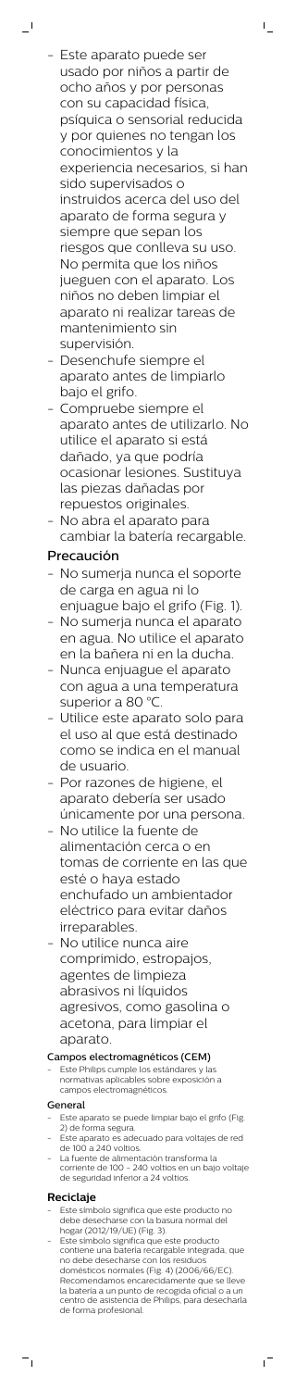- Este aparato puede ser usado por niños a partir de ocho años y por personas con su capacidad física, psíquica o sensorial reducida y por quienes no tengan los conocimientos y la experiencia necesarios, si han sido supervisados o instruidos acerca del uso del aparato de forma segura y siempre que sepan los riesgos que conlleva su uso. No permita que los niños jueguen con el aparato. Los niños no deben limpiar el aparato ni realizar tareas de mantenimiento sin supervisión.

 $\mathbb{L}$ 

 $\overline{\phantom{0}}$ 

- Desenchufe siempre el aparato antes de limpiarlo bajo el grifo.
- Compruebe siempre el aparato antes de utilizarlo. No utilice el aparato si está dañado, ya que podría ocasionar lesiones. Sustituya las piezas dañadas por repuestos originales.
- No abra el aparato para cambiar la batería recargable.

- No sumerja nunca el soporte de carga en agua ni lo enjuague bajo el grifo (Fig. 1).
- No sumerja nunca el aparato en agua. No utilice el aparato en la bañera ni en la ducha.
- Nunca enjuague el aparato con agua a una temperatura superior a 80 °C.
- Utilice este aparato solo para el uso al que está destinado como se indica en el manual de usuario.
- Por razones de higiene, el aparato debería ser usado únicamente por una persona.
- No utilice la fuente de alimentación cerca o en tomas de corriente en las que esté o haya estado enchufado un ambientador eléctrico para evitar daños irreparables.
- No utilice nunca aire comprimido, estropajos, agentes de limpieza abrasivos ni líquidos

# Precaución

Este Philips cumple los estándares y las normativas aplicables sobre exposición a campos electromagnéticos.

- Este aparato se puede limpiar bajo el grifo (Fig. 2) de forma segura.
- Este aparato es adecuado para voltajes de red de 100 a 240 voltios.
- La fuente de alimentación transforma la corriente de 100 - 240 voltios en un bajo voltaje de seguridad inferior a 24 voltios.

- Este símbolo significa que este producto no debe desecharse con la basura normal del hogar (2012/19/UE) (Fig. 3).
- Este símbolo significa que este producto contiene una batería recargable integrada, que no debe desecharse con los residuos domésticos normales (Fig. 4) (2006/66/EC). Recomendamos encarecidamente que se lleve la batería a un punto de recogida oficial o a un centro de asistencia de Philips, para desecharla de forma profesional.

 $^{-}$ 

# agresivos, como gasolina o acetona, para limpiar el aparato.

### Campos electromagnéticos (CEM)

#### General

## **Reciclaje**

 $\overline{\phantom{a}}$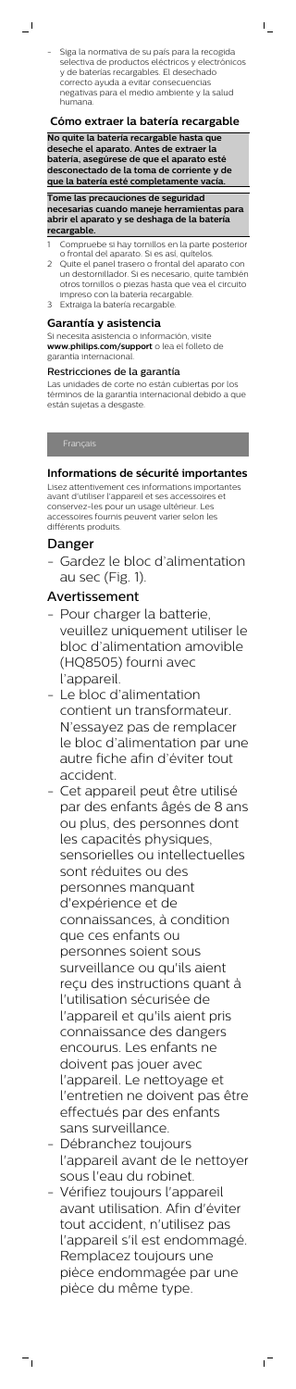- Siga la normativa de su país para la recogida selectiva de productos eléctricos y electrónicos y de baterías recargables. El desechado correcto ayuda a evitar consecuencias negativas para el medio ambiente y la salud humana.

 $\mathsf{I}$ 

 $\overline{\phantom{0}}$  (

#### **Cómo extraer la batería recargable**

**No quite la batería recargable hasta que deseche el aparato. Antes de extraer la batería, asegúrese de que el aparato esté desconectado de la toma de corriente y de que la batería esté completamente vacía.**

**Tome las precauciones de seguridad necesarias cuando maneje herramientas para abrir el aparato y se deshaga de la batería recargable.**

- Compruebe si hay tornillos en la parte posterior o frontal del aparato. Si es así, quítelos.
- 2 Quite el panel trasero o frontal del aparato con un destornillador. Si es necesario, quite también otros tornillos o piezas hasta que vea el circuito impreso con la batería recargable.
- Extraiga la batería recargable.

## **Garantía y asistencia**

Si necesita asistencia o información, visite **www.philips.com/support** o lea el folleto de garantía internacional.

#### Restricciones de la garantía

Las unidades de corte no están cubiertas por los términos de la garantía internacional debido a que están sujetas a desgaste.

#### **Informations de sécurité importantes**

Lisez attentivement ces informations importantes avant d'utiliser l'appareil et ses accessoires et conservez-les pour un usage ultérieur. Les accessoires fournis peuvent varier selon les différents produits.

## Danger

- Gardez le bloc d'alimentation au sec (Fig. 1).

## Avertissement

- Pour charger la batterie, veuillez uniquement utiliser le bloc d'alimentation amovible (HQ8505) fourni avec l'appareil.
- Le bloc d'alimentation contient un transformateur. N'essayez pas de remplacer le bloc d'alimentation par une autre fiche afin d'éviter tout accident.
- Cet appareil peut être utilisé par des enfants âgés de 8 ans ou plus, des personnes dont les capacités physiques, sensorielles ou intellectuelles sont réduites ou des personnes manquant d'expérience et de connaissances, à condition que ces enfants ou personnes soient sous surveillance ou qu'ils aient reçu des instructions quant à

l'utilisation sécurisée de l'appareil et qu'ils aient pris connaissance des dangers encourus. Les enfants ne doivent pas jouer avec l'appareil. Le nettoyage et l'entretien ne doivent pas être effectués par des enfants sans surveillance.

- Débranchez toujours l'appareil avant de le nettoyer sous l'eau du robinet.
- Vérifiez toujours l'appareil avant utilisation. Afin d'éviter tout accident, n'utilisez pas l'appareil s'il est endommagé. Remplacez toujours une pièce endommagée par une pièce du même type.

 $^{-}$ 

 $\overline{\phantom{a}}_1$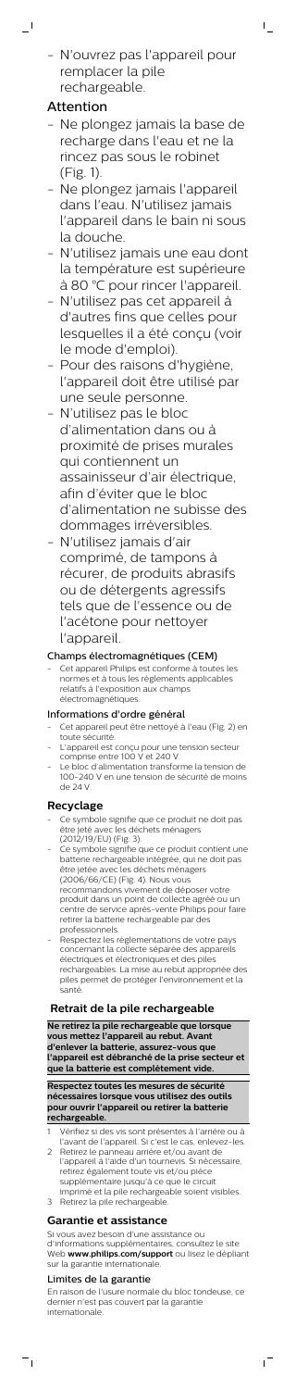- N'ouvrez pas l'appareil pour remplacer la pile rechargeable.

 $\mathsf{I}$ 

# Attention

 $\overline{\phantom{0}}$ 

- Ne plongez jamais la base de recharge dans l'eau et ne la rincez pas sous le robinet (Fig. 1).
- Ne plongez jamais l'appareil dans l'eau. N'utilisez jamais l'appareil dans le bain ni sous la douche.
- N'utilisez jamais une eau dont la température est supérieure à 80 °C pour rincer l'appareil.
- N'utilisez pas cet appareil à d'autres fins que celles pour lesquelles il a été conçu (voir le mode d'emploi).
- Pour des raisons d'hygiène, l'appareil doit être utilisé par une seule personne.
- N'utilisez pas le bloc d'alimentation dans ou à proximité de prises murales qui contiennent un assainisseur d'air électrique, afin d'éviter que le bloc d'alimentation ne subisse des dommages irréversibles.
- N'utilisez jamais d'air comprimé, de tampons à récurer, de produits abrasifs ou de détergents agressifs tels que de l'essence ou de l'acétone pour nettoyer l'appareil.

Cet appareil Philips est conforme à toutes les normes et à tous les règlements applicables relatifs à l'exposition aux champs électromagnétiques.

## Champs électromagnétiques (CEM)

- Ce symbole signifie que ce produit ne doit pas être jeté avec les déchets ménagers (2012/19/EU) (Fig. 3).
- Ce symbole signifie que ce produit contient une batterie rechargeable intégrée, qui ne doit pas être jetée avec les déchets ménagers (2006/66/CE) (Fig. 4). Nous vous recommandons vivement de déposer votre produit dans un point de collecte agréé ou un centre de service après-vente Philips pour faire retirer la batterie rechargeable par des professionnels.
- Respectez les réglementations de votre pays concernant la collecte séparée des appareils électriques et électroniques et des piles rechargeables. La mise au rebut appropriée des piles permet de protéger l'environnement et la santé.

## Informations d'ordre général

- Cet appareil peut être nettoyé à l'eau (Fig. 2) en toute sécurité.
- L'appareil est conçu pour une tension secteur comprise entre 100 V et 240 V.
- Le bloc d'alimentation transforme la tension de 100-240 V en une tension de sécurité de moins de 24 V

## **Recyclage**

## **Retrait de la pile rechargeable**

**Ne retirez la pile rechargeable que lorsque vous mettez l'appareil au rebut. Avant d'enlever la batterie, assurez-vous que l'appareil est débranché de la prise secteur et que la batterie est complètement vide.**

**Respectez toutes les mesures de sécurité nécessaires lorsque vous utilisez des outils pour ouvrir l'appareil ou retirer la batterie rechargeable.**

- 1 Vérifiez si des vis sont présentes à l'arrière ou à l'avant de l'appareil. Si c'est le cas, enlevez-
- 2 Retirez le panneau arrière et/ou avant de l'appareil à l'aide d'un tournevis. Si nécessaire, retirez également toute vis et/ou pièce supplémentaire jusqu'à ce que le circuit imprimé et la pile rechargeable soient visibles.
- 3 Retirez la pile rechargeable.

## **Garantie et assistance**

Si vous avez besoin d'une assistance ou d'informations supplémentaires, consultez le site Web **www.philips.com/support** ou lisez le dépliant sur la garantie internationale.

#### Limites de la garantie

 $\overline{\phantom{a}}$ 

En raison de l'usure normale du bloc tondeuse, ce dernier n'est pas couvert par la garantie internationale.

 $\sqrt{2}$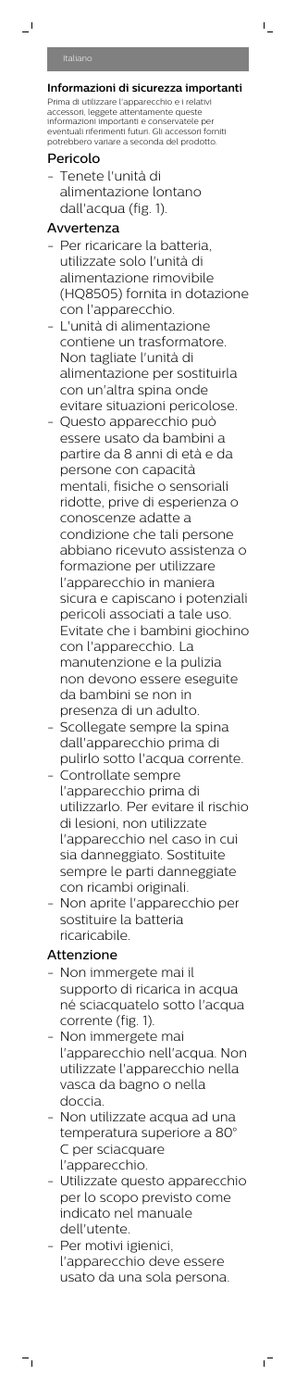$\overline{a}$ 

#### **Informazioni di sicurezza importanti** Prima di utilizzare l'apparecchio e i relativi accessori, leggete attentamente queste informazioni importanti e conservatele per eventuali riferimenti futuri. Gli accessori forniti potrebbero variare a seconda del prodotto.

 $\bar{\mathbf{I}}$ 

## Pericolo

- Tenete l'unità di alimentazione lontano dall'acqua (fig. 1).

## Avvertenza

- Per ricaricare la batteria, utilizzate solo l'unità di alimentazione rimovibile (HQ8505) fornita in dotazione con l'apparecchio.
- L'unità di alimentazione contiene un trasformatore. Non tagliate l'unità di alimentazione per sostituirla con un'altra spina onde evitare situazioni pericolose.
- Questo apparecchio può essere usato da bambini a partire da 8 anni di età e da persone con capacità mentali, fisiche o sensoriali ridotte, prive di esperienza o conoscenze adatte a condizione che tali persone abbiano ricevuto assistenza o formazione per utilizzare l'apparecchio in maniera sicura e capiscano i potenziali pericoli associati a tale uso. Evitate che i bambini giochino con l'apparecchio. La manutenzione e la pulizia non devono essere eseguite da bambini se non in presenza di un adulto.
- Scollegate sempre la spina dall'apparecchio prima di pulirlo sotto l'acqua corrente.
- Controllate sempre l'apparecchio prima di utilizzarlo. Per evitare il rischio di lesioni, non utilizzate l'apparecchio nel caso in cui sia danneggiato. Sostituite sempre le parti danneggiate con ricambi originali.
- Non aprite l'apparecchio per sostituire la batteria ricaricabile.

Non immergete mai il supporto di ricarica in acqua né sciacquatelo sotto l'acqua corrente (fig. 1). - Non immergete mai l'apparecchio nell'acqua. Non utilizzate l'apparecchio nella vasca da bagno o nella doccia. - Non utilizzate acqua ad una temperatura superiore a 80° C per sciacquare l'apparecchio. - Utilizzate questo apparecchio per lo scopo previsto come indicato nel manuale dell'utente. - Per motivi igienici, l'apparecchio deve essere usato da una sola persona.

 $^{-}$ 

## Attenzione

 $=$ <sub>1</sub>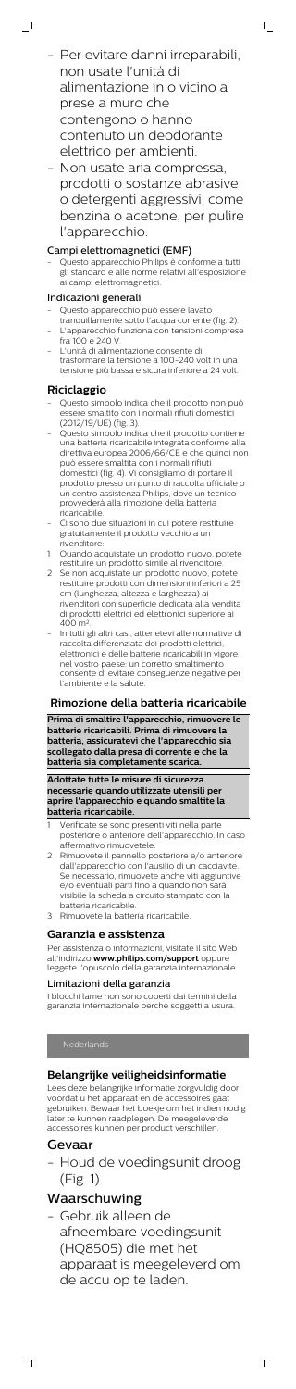- Per evitare danni irreparabili, non usate l'unità di alimentazione in o vicino a prese a muro che contengono o hanno contenuto un deodorante elettrico per ambienti.

 $\bar{\Gamma}$ 

Questo apparecchio Philips è conforme a tutti gli standard e alle norme relativi all'esposizione ai campi elettromagnetici.

- Non usate aria compressa, prodotti o sostanze abrasive o detergenti aggressivi, come benzina o acetone, per pulire l'apparecchio.

#### Campi elettromagnetici (EMF)

- Questo apparecchio può essere lavato
- tranquillamente sotto l'acqua corrente (fig. 2). L'apparecchio funziona con tensioni comprese fra 100 e 240 V.
- L'unità di alimentazione consente di trasformare la tensione a 100-240 volt in una tensione più bassa e sicura inferiore a 24 volt.

#### Indicazioni generali

 $\overline{\phantom{0}}$ 

#### **Riciclaggio**

- Questo simbolo indica che il prodotto non può essere smaltito con i normali rifiuti domestici (2012/19/UE) (fig. 3).
- Questo simbolo indica che il prodotto contiene una batteria ricaricabile integrata conforme alla direttiva europea 2006/66/CE e che quindi non può essere smaltita con i normali rifiuti domestici (fig. 4). Vi consigliamo di portare il prodotto presso un punto di raccolta ufficiale o un centro assistenza Philips, dove un tecnico provvederà alla rimozione della batteria ricaricabile.
- Ci sono due situazioni in cui potete restituire gratuitamente il prodotto vecchio a un rivenditore:
- 1 Quando acquistate un prodotto nuovo, potete restituire un prodotto simile al rivenditore.
- 2 Se non acquistate un prodotto nuovo, potete restituire prodotti con dimensioni inferiori a 25 cm (lunghezza, altezza e larghezza) ai rivenditori con superficie dedicata alla vendita di prodotti elettrici ed elettronici superiore ai 400 m<sup>2</sup> .
- In tutti gli altri casi, attenetevi alle normative di raccolta differenziata dei prodotti elettrici, elettronici e delle batterie ricaricabili in vigore nel vostro paese: un corretto smaltimento consente di evitare conseguenze negative per l'ambiente e la salute.

er assistenza o informazioni, visitate il sito Web all'indirizzo **www.philips.com/support** oppure leggete l'opuscolo della garanzia internazionale.

#### **Rimozione della batteria ricaricabile**

**Prima di smaltire l'apparecchio, rimuovere le batterie ricaricabili. Prima di rimuovere la batteria, assicuratevi che l'apparecchio sia scollegato dalla presa di corrente e che la batteria sia completamente scarica.**

**Adottate tutte le misure di sicurezza necessarie quando utilizzate utensili per aprire l'apparecchio e quando smaltite la batteria ricaricabile.**

- Verificate se sono presenti viti nella parte posteriore o anteriore dell'apparecchio. In caso affermativo rimuovetele.
- 2 Rimuovete il pannello posteriore e/o anteriore dall'apparecchio con l'ausilio di un cacciavite. Se necessario, rimuovete anche viti aggiuntive e/o eventuali parti fino a quando non sarà visibile la scheda a circuito stampato con la batteria ricaricabile.
- Rimuovete la batteria ricaricabile.

#### **Garanzia e assistenza**

#### Limitazioni della garanzia

I blocchi lame non sono coperti dai termini della

garanzia internazionale perché soggetti a usura.

## **Belangrijke veiligheidsinformatie**

Lees deze belangrijke informatie zorgvuldig door voordat u het apparaat en de accessoires gaat gebruiken. Bewaar het boekje om het indien nodig later te kunnen raadplegen. De meegeleverde accessoires kunnen per product verschillen.

# Gevaar

 $^{-}$ 

- Houd de voedingsunit droog (Fig. 1).

# Waarschuwing

- Gebruik alleen de afneembare voedingsunit (HQ8505) die met het apparaat is meegeleverd om de accu op te laden.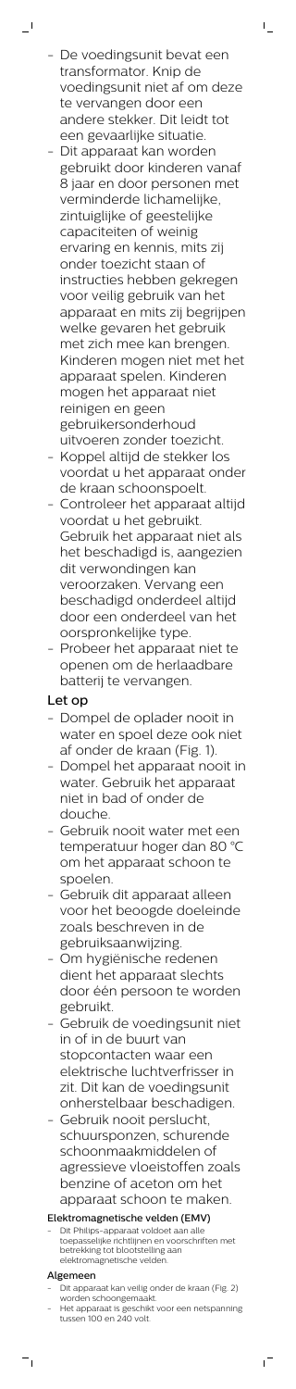- De voedingsunit bevat een transformator. Knip de voedingsunit niet af om deze te vervangen door een andere stekker. Dit leidt tot een gevaarlijke situatie.

 $\mathbb{L}$ 

 $\mathbf{I}$ 

- Dit apparaat kan worden gebruikt door kinderen vanaf 8 jaar en door personen met verminderde lichamelijke, zintuiglijke of geestelijke capaciteiten of weinig ervaring en kennis, mits zij onder toezicht staan of instructies hebben gekregen voor veilig gebruik van het apparaat en mits zij begrijpen welke gevaren het gebruik met zich mee kan brengen. Kinderen mogen niet met het apparaat spelen. Kinderen mogen het apparaat niet reinigen en geen gebruikersonderhoud uitvoeren zonder toezicht.
- Koppel altijd de stekker los voordat u het apparaat onder de kraan schoonspoelt.
- Controleer het apparaat altijd voordat u het gebruikt. Gebruik het apparaat niet als het beschadigd is, aangezien dit verwondingen kan veroorzaken. Vervang een beschadigd onderdeel altijd door een onderdeel van het oorspronkelijke type.
- Probeer het apparaat niet te openen om de herlaadbare batterij te vervangen.

Dit Philips-apparaat voldoet aan alle toepasselijke richtlijnen en voorschriften met betrekking tot blootstelling aan elektromagnetische velden.

# Let op

- Dit apparaat kan veilig onder de kraan (Fig. 2) worden schoongemaakt.
- Het apparaat is geschikt voor een netspanning tussen 100 en 240 volt.

ıT

- Dompel de oplader nooit in water en spoel deze ook niet af onder de kraan (Fig. 1).
- Dompel het apparaat nooit in water. Gebruik het apparaat niet in bad of onder de douche.
- Gebruik nooit water met een temperatuur hoger dan 80 °C om het apparaat schoon te spoelen.
- Gebruik dit apparaat alleen voor het beoogde doeleinde zoals beschreven in de gebruiksaanwijzing.
- Om hygiënische redenen dient het apparaat slechts door één persoon te worden
	- gebruikt.
- Gebruik de voedingsunit niet in of in de buurt van stopcontacten waar een elektrische luchtverfrisser in zit. Dit kan de voedingsunit onherstelbaar beschadigen.
- Gebruik nooit perslucht, schuursponzen, schurende schoonmaakmiddelen of agressieve vloeistoffen zoals benzine of aceton om het apparaat schoon te maken.

### Elektromagnetische velden (EMV)

#### Algemeen

 $\frac{1}{\sqrt{2}}$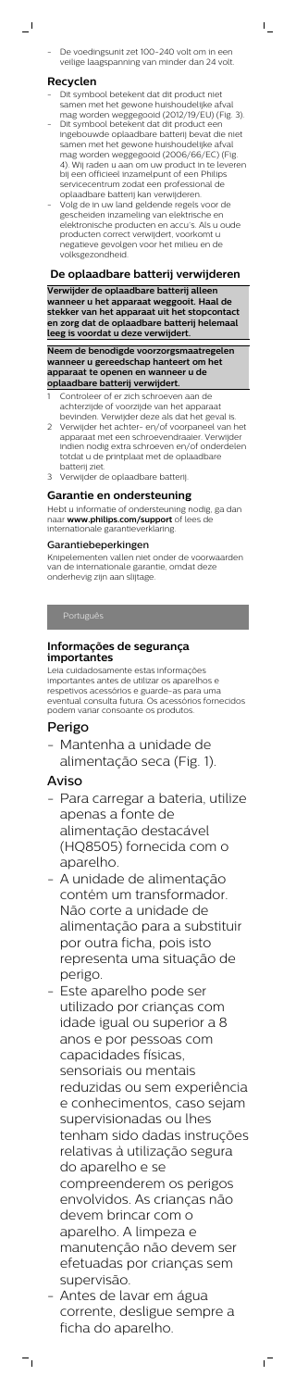De voedingsunit zet 100-240 volt om in een veilige laagspanning van minder dan 24 volt.  $\mathsf{I}$ 

#### **Recyclen**

 $\overline{\phantom{0}}$ 

- Dit symbool betekent dat dit product niet samen met het gewone huishoudelijke afval mag worden weggegooid (2012/19/EU) (Fig. 3).
- Dit symbool betekent dat dit product een ingebouwde oplaadbare batterij bevat die niet samen met het gewone huishoudelijke afval mag worden weggegooid (2006/66/EC) (Fig. 4). Wij raden u aan om uw product in te leveren bij een officieel inzamelpunt of een Philips servicecentrum zodat een professional de oplaadbare batterij kan verwijderen.
- Volg de in uw land geldende regels voor de gescheiden inzameling van elektrische en elektronische producten en accu's. Als u oude producten correct verwijdert, voorkomt u negatieve gevolgen voor het milieu en de volksgezondheid.

- Controleer of er zich schroeven aan de achterzijde of voorzijde van het apparaat bevinden. Verwijder deze als dat het geval is.
- 2 Verwijder het achter- en/of voorpaneel van het apparaat met een schroevendraaier. Verwijder indien nodig extra schroeven en/of onderdelen totdat u de printplaat met de oplaadbare batterij ziet.
- 3 Verwijder de oplaadbare batterij.

#### **De oplaadbare batterij verwijderen**

**Verwijder de oplaadbare batterij alleen wanneer u het apparaat weggooit. Haal de stekker van het apparaat uit het stopcontact en zorg dat de oplaadbare batterij helemaal leeg is voordat u deze verwijdert.**

**Neem de benodigde voorzorgsmaatregelen wanneer u gereedschap hanteert om het apparaat te openen en wanneer u de oplaadbare batterij verwijdert.**

#### **Garantie en ondersteuning**

Hebt u informatie of ondersteuning nodig, ga dan naar **www.philips.com/support** of lees de internationale garantieverklaring.

#### Garantiebeperkingen

Knipelementen vallen niet onder de voorwaarden van de internationale garantie, omdat deze onderhevig zijn aan slijtage.

Português

#### **Informações de segurança importantes**

Leia cuidadosamente estas informações importantes antes de utilizar os aparelhos e respetivos acessórios e guarde-as para uma eventual consulta futura. Os acessórios fornecidos podem variar consoante os produtos.

#### Perigo

- Mantenha a unidade de alimentação seca (Fig. 1).

## Aviso

- Para carregar a bateria, utilize apenas a fonte de alimentação destacável (HQ8505) fornecida com o aparelho.
- A unidade de alimentação contém um transformador. Não corte a unidade de alimentação para a substituir por outra ficha, pois isto representa uma situação de perigo.
- Este aparelho pode ser

utilizado por crianças com idade igual ou superior a 8 anos e por pessoas com capacidades físicas, sensoriais ou mentais reduzidas ou sem experiência e conhecimentos, caso sejam supervisionadas ou lhes tenham sido dadas instruções relativas à utilização segura do aparelho e se compreenderem os perigos envolvidos. As crianças não devem brincar com o aparelho. A limpeza e manutenção não devem ser efetuadas por crianças sem supervisão.

- Antes de lavar em água corrente, desligue sempre a ficha do aparelho.

 $^{-}$ 

 $=$ <sub>1</sub>